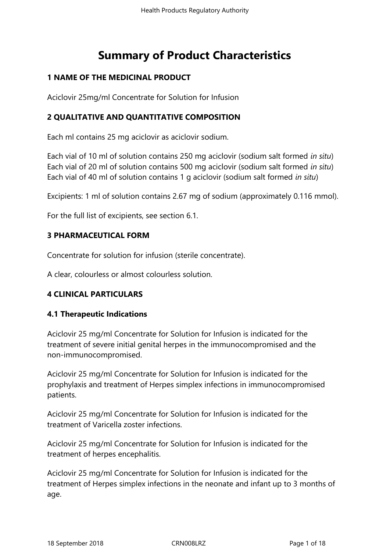# **Summary of Product Characteristics**

# **1 NAME OF THE MEDICINAL PRODUCT**

Aciclovir 25mg/ml Concentrate for Solution for Infusion

# **2 QUALITATIVE AND QUANTITATIVE COMPOSITION**

Each ml contains 25 mg aciclovir as aciclovir sodium.

Each vial of 10 ml of solution contains 250 mg aciclovir (sodium salt formed *in situ*) Each vial of 20 ml of solution contains 500 mg aciclovir (sodium salt formed *in situ*) Each vial of 40 ml of solution contains 1 g aciclovir (sodium salt formed *in situ*)

Excipients: 1 ml of solution contains 2.67 mg of sodium (approximately 0.116 mmol).

For the full list of excipients, see section 6.1.

# **3 PHARMACEUTICAL FORM**

Concentrate for solution for infusion (sterile concentrate).

A clear, colourless or almost colourless solution.

# **4 CLINICAL PARTICULARS**

# **4.1 Therapeutic Indications**

Aciclovir 25 mg/ml Concentrate for Solution for Infusion is indicated for the treatment of severe initial genital herpes in the immunocompromised and the non-immunocompromised.

Aciclovir 25 mg/ml Concentrate for Solution for Infusion is indicated for the prophylaxis and treatment of Herpes simplex infections in immunocompromised patients.

Aciclovir 25 mg/ml Concentrate for Solution for Infusion is indicated for the treatment of Varicella zoster infections.

Aciclovir 25 mg/ml Concentrate for Solution for Infusion is indicated for the treatment of herpes encephalitis.

Aciclovir 25 mg/ml Concentrate for Solution for Infusion is indicated for the treatment of Herpes simplex infections in the neonate and infant up to 3 months of age.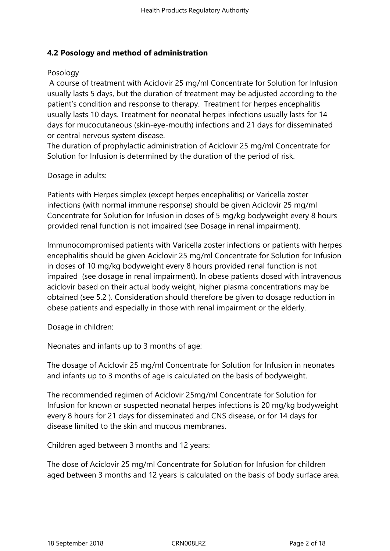# **4.2 Posology and method of administration**

#### Posology

 A course of treatment with Aciclovir 25 mg/ml Concentrate for Solution for Infusion usually lasts 5 days, but the duration of treatment may be adjusted according to the patient's condition and response to therapy. Treatment for herpes encephalitis usually lasts 10 days. Treatment for neonatal herpes infections usually lasts for 14 days for mucocutaneous (skin-eye-mouth) infections and 21 days for disseminated or central nervous system disease.

The duration of prophylactic administration of Aciclovir 25 mg/ml Concentrate for Solution for Infusion is determined by the duration of the period of risk.

Dosage in adults:

Patients with Herpes simplex (except herpes encephalitis) or Varicella zoster infections (with normal immune response) should be given Aciclovir 25 mg/ml Concentrate for Solution for Infusion in doses of 5 mg/kg bodyweight every 8 hours provided renal function is not impaired (see Dosage in renal impairment).

Immunocompromised patients with Varicella zoster infections or patients with herpes encephalitis should be given Aciclovir 25 mg/ml Concentrate for Solution for Infusion in doses of 10 mg/kg bodyweight every 8 hours provided renal function is not impaired (see dosage in renal impairment). In obese patients dosed with intravenous aciclovir based on their actual body weight, higher plasma concentrations may be obtained (see 5.2 ). Consideration should therefore be given to dosage reduction in obese patients and especially in those with renal impairment or the elderly.

Dosage in children:

Neonates and infants up to 3 months of age:

The dosage of Aciclovir 25 mg/ml Concentrate for Solution for Infusion in neonates and infants up to 3 months of age is calculated on the basis of bodyweight.

The recommended regimen of Aciclovir 25mg/ml Concentrate for Solution for Infusion for known or suspected neonatal herpes infections is 20 mg/kg bodyweight every 8 hours for 21 days for disseminated and CNS disease, or for 14 days for disease limited to the skin and mucous membranes.

Children aged between 3 months and 12 years:

The dose of Aciclovir 25 mg/ml Concentrate for Solution for Infusion for children aged between 3 months and 12 years is calculated on the basis of body surface area.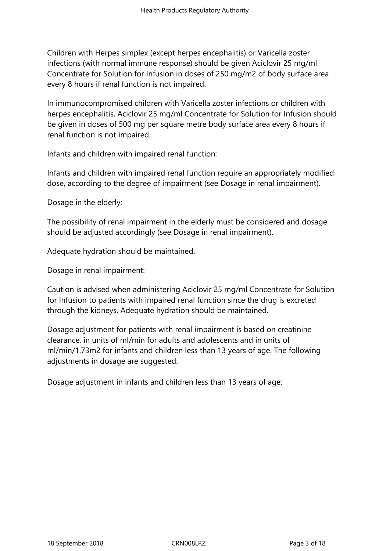Children with Herpes simplex (except herpes encephalitis) or Varicella zoster infections (with normal immune response) should be given Aciclovir 25 mg/ml Concentrate for Solution for Infusion in doses of 250 mg/m2 of body surface area every 8 hours if renal function is not impaired.

In immunocompromised children with Varicella zoster infections or children with herpes encephalitis, Aciclovir 25 mg/ml Concentrate for Solution for Infusion should be given in doses of 500 mg per square metre body surface area every 8 hours if renal function is not impaired.

Infants and children with impaired renal function:

Infants and children with impaired renal function require an appropriately modified dose, according to the degree of impairment (see Dosage in renal impairment).

Dosage in the elderly:

The possibility of renal impairment in the elderly must be considered and dosage should be adjusted accordingly (see Dosage in renal impairment).

Adequate hydration should be maintained.

Dosage in renal impairment:

Caution is advised when administering Aciclovir 25 mg/ml Concentrate for Solution for Infusion to patients with impaired renal function since the drug is excreted through the kidneys. Adequate hydration should be maintained.

Dosage adjustment for patients with renal impairment is based on creatinine clearance, in units of ml/min for adults and adolescents and in units of ml/min/1.73m2 for infants and children less than 13 years of age. The following adjustments in dosage are suggested:

Dosage adjustment in infants and children less than 13 years of age: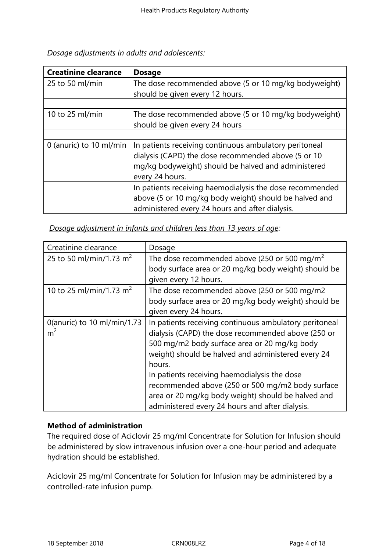|  |  |  | Dosage adjustments in adults and adolescents: |
|--|--|--|-----------------------------------------------|
|  |  |  |                                               |

| <b>Creatinine clearance</b> | <b>Dosage</b>                                            |  |  |  |
|-----------------------------|----------------------------------------------------------|--|--|--|
| 25 to 50 ml/min             | The dose recommended above (5 or 10 mg/kg bodyweight)    |  |  |  |
|                             | should be given every 12 hours.                          |  |  |  |
|                             |                                                          |  |  |  |
| 10 to 25 ml/min             | The dose recommended above (5 or 10 mg/kg bodyweight)    |  |  |  |
|                             | should be given every 24 hours                           |  |  |  |
|                             |                                                          |  |  |  |
| 0 (anuric) to 10 ml/min     | In patients receiving continuous ambulatory peritoneal   |  |  |  |
|                             | dialysis (CAPD) the dose recommended above (5 or 10      |  |  |  |
|                             | mg/kg bodyweight) should be halved and administered      |  |  |  |
|                             | every 24 hours.                                          |  |  |  |
|                             | In patients receiving haemodialysis the dose recommended |  |  |  |
|                             | above (5 or 10 mg/kg body weight) should be halved and   |  |  |  |
|                             | administered every 24 hours and after dialysis.          |  |  |  |

| Creatinine clearance                | Dosage                                                     |
|-------------------------------------|------------------------------------------------------------|
| 25 to 50 ml/min/1.73 m <sup>2</sup> | The dose recommended above (250 or 500 mg/m <sup>2</sup> ) |
|                                     | body surface area or 20 mg/kg body weight) should be       |
|                                     | given every 12 hours.                                      |
| 10 to 25 ml/min/1.73 m <sup>2</sup> | The dose recommended above (250 or 500 mg/m2               |
|                                     | body surface area or 20 mg/kg body weight) should be       |
|                                     | given every 24 hours.                                      |
| 0(anuric) to 10 ml/min/1.73         | In patients receiving continuous ambulatory peritoneal     |
| m <sup>2</sup>                      | dialysis (CAPD) the dose recommended above (250 or         |
|                                     | 500 mg/m2 body surface area or 20 mg/kg body               |
|                                     | weight) should be halved and administered every 24         |
|                                     | hours.                                                     |
|                                     | In patients receiving haemodialysis the dose               |
|                                     | recommended above (250 or 500 mg/m2 body surface           |
|                                     | area or 20 mg/kg body weight) should be halved and         |
|                                     | administered every 24 hours and after dialysis.            |

*Dosage adjustment in infants and children less than 13 years of age:*

# **Method of administration**

The required dose of Aciclovir 25 mg/ml Concentrate for Solution for Infusion should be administered by slow intravenous infusion over a one-hour period and adequate hydration should be established.

Aciclovir 25 mg/ml Concentrate for Solution for Infusion may be administered by a controlled-rate infusion pump.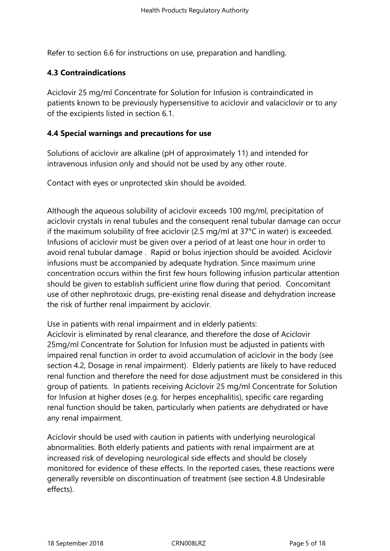Refer to section 6.6 for instructions on use, preparation and handling.

# **4.3 Contraindications**

Aciclovir 25 mg/ml Concentrate for Solution for Infusion is contraindicated in patients known to be previously hypersensitive to aciclovir and valaciclovir or to any of the excipients listed in section 6.1.

# **4.4 Special warnings and precautions for use**

Solutions of aciclovir are alkaline (pH of approximately 11) and intended for intravenous infusion only and should not be used by any other route.

Contact with eyes or unprotected skin should be avoided.

Although the aqueous solubility of aciclovir exceeds 100 mg/ml, precipitation of aciclovir crystals in renal tubules and the consequent renal tubular damage can occur if the maximum solubility of free aciclovir (2.5 mg/ml at 37°C in water) is exceeded. Infusions of aciclovir must be given over a period of at least one hour in order to avoid renal tubular damage . Rapid or bolus injection should be avoided. Aciclovir infusions must be accompanied by adequate hydration. Since maximum urine concentration occurs within the first few hours following infusion particular attention should be given to establish sufficient urine flow during that period. Concomitant use of other nephrotoxic drugs, pre-existing renal disease and dehydration increase the risk of further renal impairment by aciclovir.

Use in patients with renal impairment and in elderly patients:

Aciclovir is eliminated by renal clearance, and therefore the dose of Aciclovir 25mg/ml Concentrate for Solution for Infusion must be adjusted in patients with impaired renal function in order to avoid accumulation of aciclovir in the body (see section 4.2, Dosage in renal impairment). Elderly patients are likely to have reduced renal function and therefore the need for dose adjustment must be considered in this group of patients. In patients receiving Aciclovir 25 mg/ml Concentrate for Solution for Infusion at higher doses (e.g. for herpes encephalitis), specific care regarding renal function should be taken, particularly when patients are dehydrated or have any renal impairment.

Aciclovir should be used with caution in patients with underlying neurological abnormalities. Both elderly patients and patients with renal impairment are at increased risk of developing neurological side effects and should be closely monitored for evidence of these effects. In the reported cases, these reactions were generally reversible on discontinuation of treatment (see section 4.8 Undesirable effects).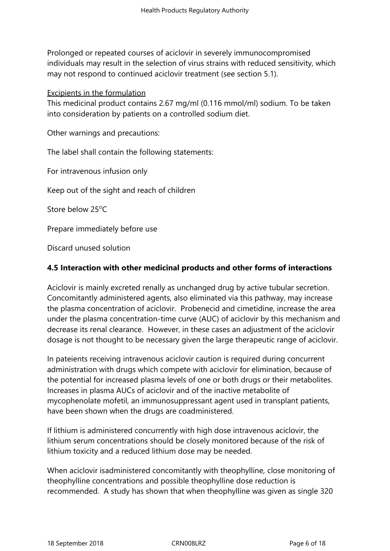Prolonged or repeated courses of aciclovir in severely immunocompromised individuals may result in the selection of virus strains with reduced sensitivity, which may not respond to continued aciclovir treatment (see section 5.1).

Excipients in the formulation

This medicinal product contains 2.67 mg/ml (0.116 mmol/ml) sodium. To be taken into consideration by patients on a controlled sodium diet.

Other warnings and precautions:

The label shall contain the following statements:

For intravenous infusion only

Keep out of the sight and reach of children

Store below 25<sup>o</sup>C

Prepare immediately before use

Discard unused solution

#### **4.5 Interaction with other medicinal products and other forms of interactions**

Aciclovir is mainly excreted renally as unchanged drug by active tubular secretion. Concomitantly administered agents, also eliminated via this pathway, may increase the plasma concentration of aciclovir. Probenecid and cimetidine, increase the area under the plasma concentration-time curve (AUC) of aciclovir by this mechanism and decrease its renal clearance. However, in these cases an adjustment of the aciclovir dosage is not thought to be necessary given the large therapeutic range of aciclovir.

In pateients receiving intravenous aciclovir caution is required during concurrent administration with drugs which compete with aciclovir for elimination, because of the potential for increased plasma levels of one or both drugs or their metabolites. Increases in plasma AUCs of aciclovir and of the inactive metabolite of mycophenolate mofetil, an immunosuppressant agent used in transplant patients, have been shown when the drugs are coadministered.

If lithium is administered concurrently with high dose intravenous aciclovir, the lithium serum concentrations should be closely monitored because of the risk of lithium toxicity and a reduced lithium dose may be needed.

When aciclovir isadministered concomitantly with theophylline*,* close monitoring of theophylline concentrations and possible theophylline dose reduction is recommended. A study has shown that when theophylline was given as single 320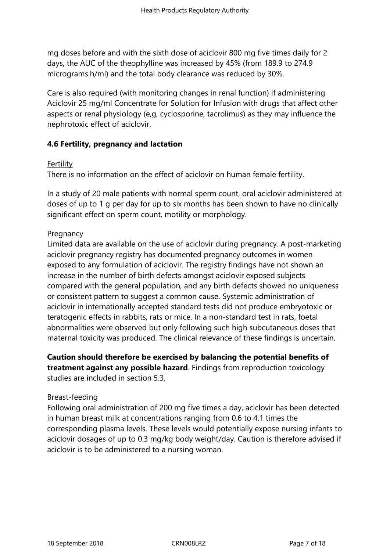mg doses before and with the sixth dose of aciclovir 800 mg five times daily for 2 days, the AUC of the theophylline was increased by 45% (from 189.9 to 274.9 micrograms.h/ml) and the total body clearance was reduced by 30%.

Care is also required (with monitoring changes in renal function) if administering Aciclovir 25 mg/ml Concentrate for Solution for Infusion with drugs that affect other aspects or renal physiology (e,g, cyclosporine, tacrolimus) as they may influence the nephrotoxic effect of aciclovir.

# **4.6 Fertility, pregnancy and lactation**

#### **Fertility**

There is no information on the effect of aciclovir on human female fertility.

In a study of 20 male patients with normal sperm count, oral aciclovir administered at doses of up to 1 g per day for up to six months has been shown to have no clinically significant effect on sperm count, motility or morphology.

## Pregnancy

Limited data are available on the use of aciclovir during pregnancy. A post-marketing aciclovir pregnancy registry has documented pregnancy outcomes in women exposed to any formulation of aciclovir. The registry findings have not shown an increase in the number of birth defects amongst aciclovir exposed subjects compared with the general population, and any birth defects showed no uniqueness or consistent pattern to suggest a common cause. Systemic administration of aciclovir in internationally accepted standard tests did not produce embryotoxic or teratogenic effects in rabbits, rats or mice. In a non-standard test in rats, foetal abnormalities were observed but only following such high subcutaneous doses that maternal toxicity was produced. The clinical relevance of these findings is uncertain.

**Caution should therefore be exercised by balancing the potential benefits of treatment against any possible hazard**. Findings from reproduction toxicology studies are included in section 5.3.

#### Breast-feeding

Following oral administration of 200 mg five times a day, aciclovir has been detected in human breast milk at concentrations ranging from 0.6 to 4.1 times the corresponding plasma levels. These levels would potentially expose nursing infants to aciclovir dosages of up to 0.3 mg/kg body weight/day. Caution is therefore advised if aciclovir is to be administered to a nursing woman.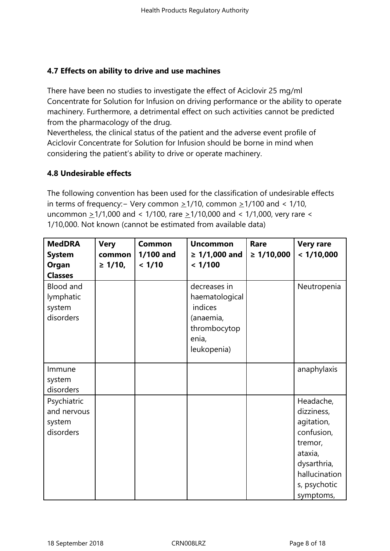# **4.7 Effects on ability to drive and use machines**

There have been no studies to investigate the effect of Aciclovir 25 mg/ml Concentrate for Solution for Infusion on driving performance or the ability to operate machinery. Furthermore, a detrimental effect on such activities cannot be predicted from the pharmacology of the drug.

Nevertheless, the clinical status of the patient and the adverse event profile of Aciclovir Concentrate for Solution for Infusion should be borne in mind when considering the patient's ability to drive or operate machinery.

# **4.8 Undesirable effects**

The following convention has been used for the classification of undesirable effects in terms of frequency:− Very common >1/10, common >1/100 and < 1/10, uncommon  $\geq$  1/1,000 and < 1/100, rare  $\geq$  1/10,000 and < 1/1,000, very rare < 1/10,000. Not known (cannot be estimated from available data)

| <b>MedDRA</b><br><b>System</b><br>Organ<br><b>Classes</b> | <b>Very</b><br>common<br>$\geq 1/10$ , | <b>Common</b><br>1/100 and<br>< 1/10 | <b>Uncommon</b><br>$\geq 1/1,000$ and<br>< 1/100                                               | Rare<br>$\geq 1/10,000$ | <b>Very rare</b><br>< 1/10,000                                                                                                         |
|-----------------------------------------------------------|----------------------------------------|--------------------------------------|------------------------------------------------------------------------------------------------|-------------------------|----------------------------------------------------------------------------------------------------------------------------------------|
| <b>Blood and</b><br>lymphatic<br>system<br>disorders      |                                        |                                      | decreases in<br>haematological<br>indices<br>(anaemia,<br>thrombocytop<br>enia,<br>leukopenia) |                         | Neutropenia                                                                                                                            |
| Immune<br>system<br>disorders                             |                                        |                                      |                                                                                                |                         | anaphylaxis                                                                                                                            |
| Psychiatric<br>and nervous<br>system<br>disorders         |                                        |                                      |                                                                                                |                         | Headache,<br>dizziness,<br>agitation,<br>confusion,<br>tremor,<br>ataxia,<br>dysarthria,<br>hallucination<br>s, psychotic<br>symptoms, |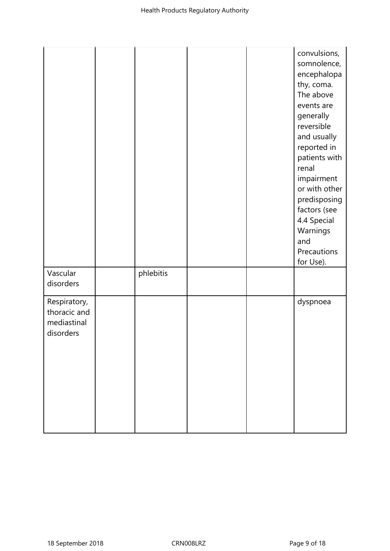|                                                          |           |  | convulsions,<br>somnolence,<br>encephalopa<br>thy, coma.<br>The above<br>events are<br>generally<br>reversible<br>and usually<br>reported in<br>patients with<br>renal<br>impairment<br>or with other<br>predisposing<br>factors (see<br>4.4 Special<br>Warnings<br>and<br>Precautions<br>for Use). |
|----------------------------------------------------------|-----------|--|-----------------------------------------------------------------------------------------------------------------------------------------------------------------------------------------------------------------------------------------------------------------------------------------------------|
| Vascular<br>disorders                                    | phlebitis |  |                                                                                                                                                                                                                                                                                                     |
| Respiratory,<br>thoracic and<br>mediastinal<br>disorders |           |  | dyspnoea                                                                                                                                                                                                                                                                                            |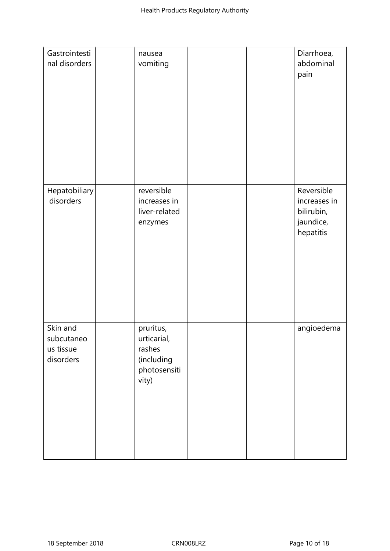| Gastrointesti<br>nal disorders                   | nausea<br>vomiting                                                        |  | Diarrhoea,<br>abdominal<br>pain                                    |
|--------------------------------------------------|---------------------------------------------------------------------------|--|--------------------------------------------------------------------|
| Hepatobiliary<br>disorders                       | reversible<br>increases in<br>liver-related<br>enzymes                    |  | Reversible<br>increases in<br>bilirubin,<br>jaundice,<br>hepatitis |
| Skin and<br>subcutaneo<br>us tissue<br>disorders | pruritus,<br>urticarial,<br>rashes<br>(including<br>photosensiti<br>vity) |  | angioedema                                                         |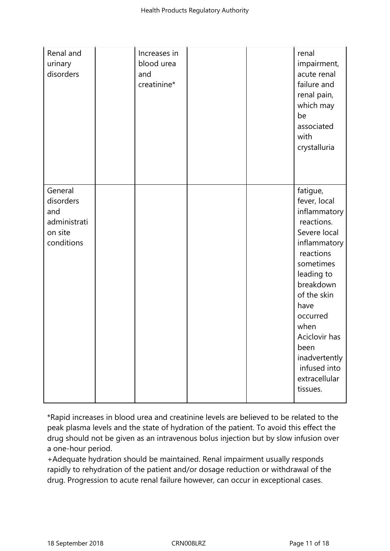| Renal and<br>urinary<br>disorders                                    | Increases in<br>blood urea<br>and<br>creatinine* |  | renal<br>impairment,<br>acute renal<br>failure and<br>renal pain,<br>which may<br>be<br>associated<br>with<br>crystalluria                                                                                                                                                    |
|----------------------------------------------------------------------|--------------------------------------------------|--|-------------------------------------------------------------------------------------------------------------------------------------------------------------------------------------------------------------------------------------------------------------------------------|
| General<br>disorders<br>and<br>administrati<br>on site<br>conditions |                                                  |  | fatigue,<br>fever, local<br>inflammatory<br>reactions.<br>Severe local<br>inflammatory<br>reactions<br>sometimes<br>leading to<br>breakdown<br>of the skin<br>have<br>occurred<br>when<br>Aciclovir has<br>been<br>inadvertently<br>infused into<br>extracellular<br>tissues. |

\*Rapid increases in blood urea and creatinine levels are believed to be related to the peak plasma levels and the state of hydration of the patient. To avoid this effect the drug should not be given as an intravenous bolus injection but by slow infusion over a one-hour period.

+Adequate hydration should be maintained. Renal impairment usually responds rapidly to rehydration of the patient and/or dosage reduction or withdrawal of the drug. Progression to acute renal failure however, can occur in exceptional cases.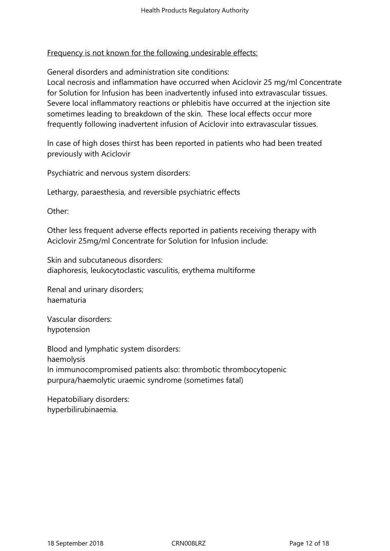## Frequency is not known for the following undesirable effects:

General disorders and administration site conditions:

Local necrosis and inflammation have occurred when Aciclovir 25 mg/ml Concentrate for Solution for Infusion has been inadvertently infused into extravascular tissues. Severe local inflammatory reactions or phlebitis have occurred at the injection site sometimes leading to breakdown of the skin. These local effects occur more frequently following inadvertent infusion of Aciclovir into extravascular tissues.

In case of high doses thirst has been reported in patients who had been treated previously with Aciclovir

Psychiatric and nervous system disorders:

Lethargy, paraesthesia, and reversible psychiatric effects

Other:

Other less frequent adverse effects reported in patients receiving therapy with Aciclovir 25mg/ml Concentrate for Solution for Infusion include:

Skin and subcutaneous disorders: diaphoresis, leukocytoclastic vasculitis, erythema multiforme

Renal and urinary disorders; haematuria

Vascular disorders: hypotension

Blood and lymphatic system disorders: haemolysis In immunocompromised patients also: thrombotic thrombocytopenic purpura/haemolytic uraemic syndrome (sometimes fatal)

Hepatobiliary disorders: hyperbilirubinaemia.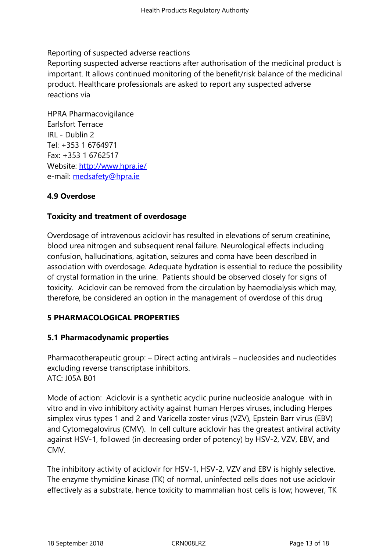# Reporting of suspected adverse reactions

Reporting suspected adverse reactions after authorisation of the medicinal product is important. It allows continued monitoring of the benefit/risk balance of the medicinal product. Healthcare professionals are asked to report any suspected adverse reactions via

HPRA Pharmacovigilance Earlsfort Terrace IRL - Dublin 2 Tel: +353 1 6764971 Fax: +353 1 6762517 Website: http://www.hpra.ie/ e-mail: medsafety@hpra.ie

# **4.9 Over[dose](http://www.hpra.ie/)**

# **Toxicit[y and treatment of](mailto:medsafety@hpra.ie) overdosage**

Overdosage of intravenous aciclovir has resulted in elevations of serum creatinine, blood urea nitrogen and subsequent renal failure. Neurological effects including confusion, hallucinations, agitation, seizures and coma have been described in association with overdosage. Adequate hydration is essential to reduce the possibility of crystal formation in the urine. Patients should be observed closely for signs of toxicity. Aciclovir can be removed from the circulation by haemodialysis which may, therefore, be considered an option in the management of overdose of this drug

# **5 PHARMACOLOGICAL PROPERTIES**

# **5.1 Pharmacodynamic properties**

Pharmacotherapeutic group: – Direct acting antivirals – nucleosides and nucleotides excluding reverse transcriptase inhibitors. ATC: J05A B01

Mode of action: Aciclovir is a synthetic acyclic purine nucleoside analogue with in vitro and in vivo inhibitory activity against human Herpes viruses, including Herpes simplex virus types 1 and 2 and Varicella zoster virus (VZV), Epstein Barr virus (EBV) and Cytomegalovirus (CMV). In cell culture aciclovir has the greatest antiviral activity against HSV-1, followed (in decreasing order of potency) by HSV-2, VZV, EBV, and CMV.

The inhibitory activity of aciclovir for HSV-1, HSV-2, VZV and EBV is highly selective. The enzyme thymidine kinase (TK) of normal, uninfected cells does not use aciclovir effectively as a substrate, hence toxicity to mammalian host cells is low; however, TK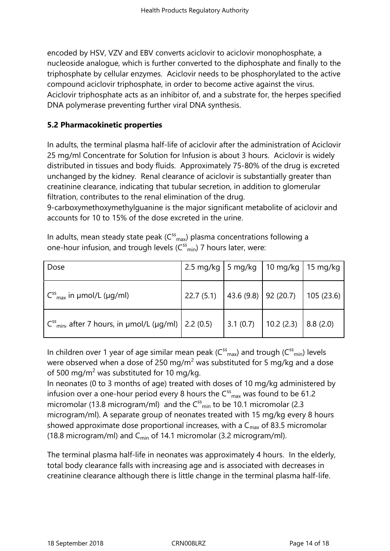encoded by HSV, VZV and EBV converts aciclovir to aciclovir monophosphate, a nucleoside analogue, which is further converted to the diphosphate and finally to the triphosphate by cellular enzymes. Aciclovir needs to be phosphorylated to the active compound aciclovir triphosphate, in order to become active against the virus. Aciclovir triphosphate acts as an inhibitor of, and a substrate for, the herpes specified DNA polymerase preventing further viral DNA synthesis.

# **5.2 Pharmacokinetic properties**

In adults, the terminal plasma half-life of aciclovir after the administration of Aciclovir 25 mg/ml Concentrate for Solution for Infusion is about 3 hours. Aciclovir is widely distributed in tissues and body fluids. Approximately 75-80% of the drug is excreted unchanged by the kidney. Renal clearance of aciclovir is substantially greater than creatinine clearance, indicating that tubular secretion, in addition to glomerular filtration, contributes to the renal elimination of the drug.

9-carboxymethoxymethylguanine is the major significant metabolite of aciclovir and accounts for 10 to 15% of the dose excreted in the urine.

| Dose                                                                                                                                | 2.5 mg/kg   5 mg/kg   10 mg/kg   15 mg/kg  |  |  |
|-------------------------------------------------------------------------------------------------------------------------------------|--------------------------------------------|--|--|
| $C_{\text{max}}^{ss}$ in µmol/L (µg/ml)                                                                                             | 22.7 (5.1) 43.6 (9.8) 92 (20.7) 105 (23.6) |  |  |
| $C^{ss}$ <sub>min</sub> , after 7 hours, in µmol/L (µg/ml) $\Big  2.2$ (0.5) $\Big  3.1$ (0.7) $\Big  10.2$ (2.3) $\Big  8.8$ (2.0) |                                            |  |  |

In adults, mean steady state peak ( $C_{\text{max}}^{\text{ss}}$ ) plasma concentrations following a one-hour infusion, and trough levels (C<sup>ss</sup><sub>min</sub>) 7 hours later, were:

In children over 1 year of age similar mean peak ( $C^{ss}$ <sub>max</sub>) and trough ( $C^{ss}$ <sub>min</sub>) levels were observed when a dose of 250 mg/m<sup>2</sup> was substituted for 5 mg/kg and a dose of 500 mg/m<sup>2</sup> was substituted for 10 mg/kg.

In neonates (0 to 3 months of age) treated with doses of 10 mg/kg administered by infusion over a one-hour period every 8 hours the  $C_{\rm max}^{\rm ss}$  was found to be 61.2 micromolar (13.8 microgram/ml) and the  $C_{\text{min}}^{ss}$  to be 10.1 micromolar (2.3 microgram/ml). A separate group of neonates treated with 15 mg/kg every 8 hours showed approximate dose proportional increases, with a  $C_{\text{max}}$  of 83.5 micromolar (18.8 microgram/ml) and  $C_{\text{min}}$  of 14.1 micromolar (3.2 microgram/ml).

The terminal plasma half-life in neonates was approximately 4 hours. In the elderly, total body clearance falls with increasing age and is associated with decreases in creatinine clearance although there is little change in the terminal plasma half-life.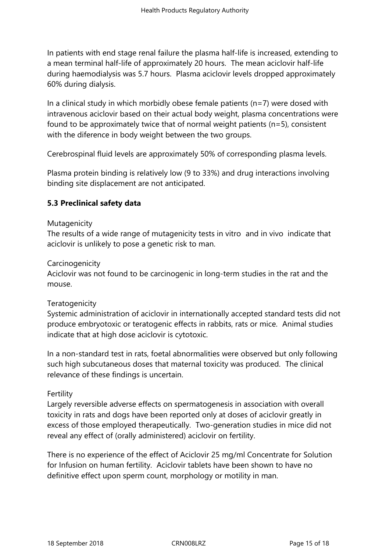In patients with end stage renal failure the plasma half-life is increased, extending to a mean terminal half-life of approximately 20 hours. The mean aciclovir half-life during haemodialysis was 5.7 hours. Plasma aciclovir levels dropped approximately 60% during dialysis.

In a clinical study in which morbidly obese female patients ( $n=7$ ) were dosed with intravenous aciclovir based on their actual body weight, plasma concentrations were found to be approximately twice that of normal weight patients (n=5), consistent with the diference in body weight between the two groups.

Cerebrospinal fluid levels are approximately 50% of corresponding plasma levels.

Plasma protein binding is relatively low (9 to 33%) and drug interactions involving binding site displacement are not anticipated.

# **5.3 Preclinical safety data**

#### Mutagenicity

The results of a wide range of mutagenicity tests in vitro and in vivo indicate that aciclovir is unlikely to pose a genetic risk to man.

## **Carcinogenicity**

Aciclovir was not found to be carcinogenic in long-term studies in the rat and the mouse.

# **Teratogenicity**

Systemic administration of aciclovir in internationally accepted standard tests did not produce embryotoxic or teratogenic effects in rabbits, rats or mice. Animal studies indicate that at high dose aciclovir is cytotoxic.

In a non-standard test in rats, foetal abnormalities were observed but only following such high subcutaneous doses that maternal toxicity was produced. The clinical relevance of these findings is uncertain.

#### Fertility

Largely reversible adverse effects on spermatogenesis in association with overall toxicity in rats and dogs have been reported only at doses of aciclovir greatly in excess of those employed therapeutically. Two-generation studies in mice did not reveal any effect of (orally administered) aciclovir on fertility.

There is no experience of the effect of Aciclovir 25 mg/ml Concentrate for Solution for Infusion on human fertility. Aciclovir tablets have been shown to have no definitive effect upon sperm count, morphology or motility in man.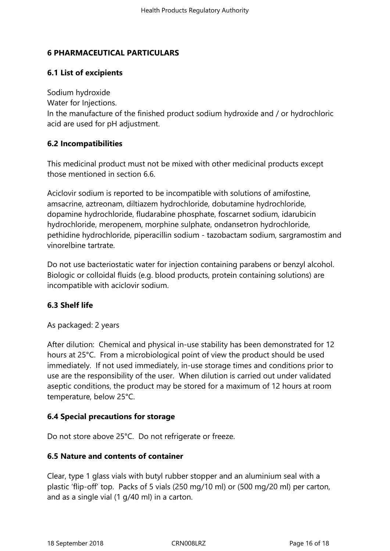# **6 PHARMACEUTICAL PARTICULARS**

# **6.1 List of excipients**

Sodium hydroxide Water for Injections. In the manufacture of the finished product sodium hydroxide and / or hydrochloric acid are used for pH adjustment.

# **6.2 Incompatibilities**

This medicinal product must not be mixed with other medicinal products except those mentioned in section 6.6.

Aciclovir sodium is reported to be incompatible with solutions of amifostine, amsacrine, aztreonam, diltiazem hydrochloride, dobutamine hydrochloride, dopamine hydrochloride, fludarabine phosphate, foscarnet sodium, idarubicin hydrochloride, meropenem, morphine sulphate, ondansetron hydrochloride, pethidine hydrochloride, piperacillin sodium - tazobactam sodium, sargramostim and vinorelbine tartrate.

Do not use bacteriostatic water for injection containing parabens or benzyl alcohol. Biologic or colloidal fluids (e.g. blood products, protein containing solutions) are incompatible with aciclovir sodium.

# **6.3 Shelf life**

# As packaged: 2 years

After dilution: Chemical and physical in-use stability has been demonstrated for 12 hours at 25°C. From a microbiological point of view the product should be used immediately. If not used immediately, in-use storage times and conditions prior to use are the responsibility of the user. When dilution is carried out under validated aseptic conditions, the product may be stored for a maximum of 12 hours at room temperature, below 25°C.

# **6.4 Special precautions for storage**

Do not store above 25°C. Do not refrigerate or freeze.

# **6.5 Nature and contents of container**

Clear, type 1 glass vials with butyl rubber stopper and an aluminium seal with a plastic 'flip-off' top. Packs of 5 vials (250 mg/10 ml) or (500 mg/20 ml) per carton, and as a single vial (1 g/40 ml) in a carton.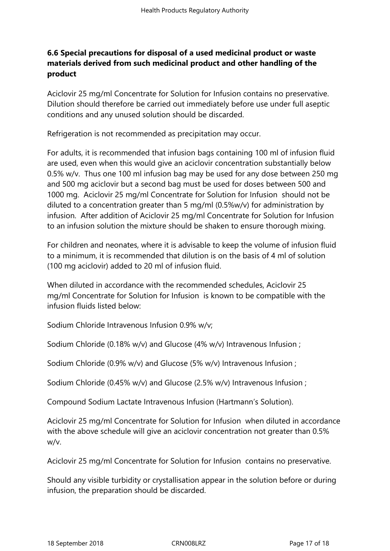# **6.6 Special precautions for disposal of a used medicinal product or waste materials derived from such medicinal product and other handling of the product**

Aciclovir 25 mg/ml Concentrate for Solution for Infusion contains no preservative. Dilution should therefore be carried out immediately before use under full aseptic conditions and any unused solution should be discarded.

Refrigeration is not recommended as precipitation may occur.

For adults, it is recommended that infusion bags containing 100 ml of infusion fluid are used, even when this would give an aciclovir concentration substantially below 0.5% w/v. Thus one 100 ml infusion bag may be used for any dose between 250 mg and 500 mg aciclovir but a second bag must be used for doses between 500 and 1000 mg. Aciclovir 25 mg/ml Concentrate for Solution for Infusion should not be diluted to a concentration greater than 5 mg/ml (0.5%w/v) for administration by infusion. After addition of Aciclovir 25 mg/ml Concentrate for Solution for Infusion to an infusion solution the mixture should be shaken to ensure thorough mixing.

For children and neonates, where it is advisable to keep the volume of infusion fluid to a minimum, it is recommended that dilution is on the basis of 4 ml of solution (100 mg aciclovir) added to 20 ml of infusion fluid.

When diluted in accordance with the recommended schedules, Aciclovir 25 mg/ml Concentrate for Solution for Infusion is known to be compatible with the infusion fluids listed below:

Sodium Chloride Intravenous Infusion 0.9% w/v;

Sodium Chloride (0.18% w/v) and Glucose (4% w/v) Intravenous Infusion ;

Sodium Chloride (0.9% w/v) and Glucose (5% w/v) Intravenous Infusion ;

Sodium Chloride (0.45% w/v) and Glucose (2.5% w/v) Intravenous Infusion ;

Compound Sodium Lactate Intravenous Infusion (Hartmann's Solution).

Aciclovir 25 mg/ml Concentrate for Solution for Infusion when diluted in accordance with the above schedule will give an aciclovir concentration not greater than 0.5% w/v.

Aciclovir 25 mg/ml Concentrate for Solution for Infusion contains no preservative.

Should any visible turbidity or crystallisation appear in the solution before or during infusion, the preparation should be discarded.